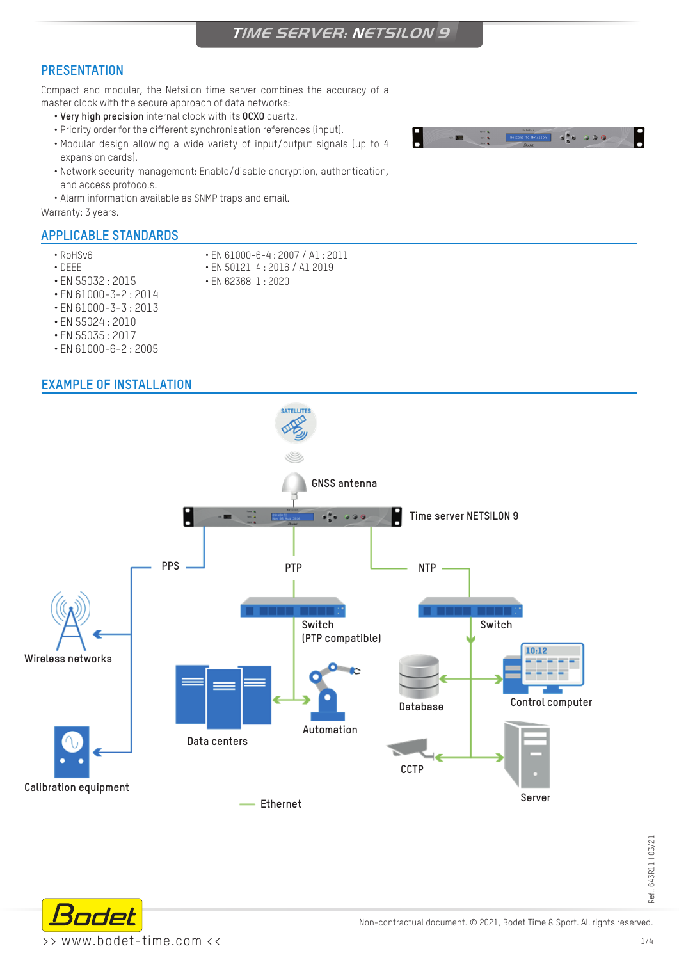### **PRESENTATION**

Compact and modular, the Netsilon time server combines the accuracy of a master clock with the secure approach of data networks:

- **• Very high precision** internal clock with its **OCXO** quartz.
- Priority order for the different synchronisation references (input).
- Modular design allowing a wide variety of input/output signals (up to 4 expansion cards).
- Network security management: Enable/disable encryption, authentication, and access protocols.
- Alarm information available as SNMP traps and email.



#### **APPLICABLE STANDARDS**

- 
- 
- RoHSv6 EN 61000-6-4 : 2007 / A1 : 2011 • EN 50121-4: 2016 / A1 2019
- 
- EN 55032 : 2015 EN 62368-1 : 2020
- EN 61000-3-2 : 2014
- EN 61000-3-3 : 2013
- EN 55024 : 2010
- EN 55035 : 2017
- EN 61000-6-2 : 2005

### **EXAMPLE OF INSTALLATION**



Ref.: 643R11H 03/21 Ref.: 643R11H 03/21



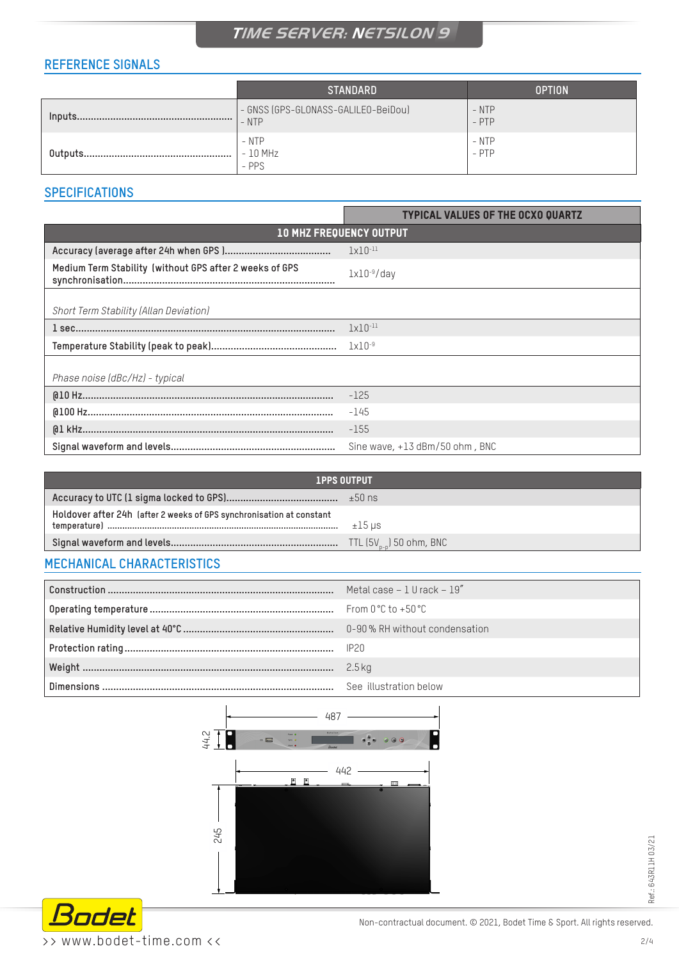### **REFERENCE SIGNALS**

|         | <b>STANDARD</b>                                | <b>OPTION</b>      |
|---------|------------------------------------------------|--------------------|
| Inputs. | - GNSS (GPS-GLONASS-GALILEO-BeiDou)<br>$-$ NTP | $-$ NTP<br>$-$ PTP |
|         | - NTP<br>- 10 MHz<br>$-$ PPS                   | - NTP<br>- PTP     |

### **SPECIFICATIONS**

|                                                         | <b>TYPICAL VALUES OF THE OCXO QUARTZ</b> |  |
|---------------------------------------------------------|------------------------------------------|--|
| <b>10 MHZ FREQUENCY OUTPUT</b>                          |                                          |  |
|                                                         | $1x10^{-11}$                             |  |
| Medium Term Stability (without GPS after 2 weeks of GPS | $lx10^{-9}/day$                          |  |
| Short Term Stability (Allan Deviation)                  |                                          |  |
|                                                         | $1x10^{-11}$                             |  |
|                                                         | $1x10^{-9}$                              |  |
| Phase noise (dBc/Hz) - typical                          |                                          |  |
|                                                         | $-125$                                   |  |
|                                                         | $-145$                                   |  |
|                                                         | $-155$                                   |  |
|                                                         | Sine wave, $+13$ dBm/50 ohm, BNC         |  |

| <b>1PPS OUTPUT</b>                                                   |                              |
|----------------------------------------------------------------------|------------------------------|
|                                                                      |                              |
| Holdover after 24h (after 2 weeks of GPS synchronisation at constant | $±15$ µs                     |
|                                                                      | TTL $(5V_{n-n})$ 50 ohm, BNC |
|                                                                      |                              |

### **MECHANICAL CHARACTERISTICS**

| Metal case $-1$ U rack $-19''$ |
|--------------------------------|
|                                |
|                                |
|                                |
| 2.5 kg                         |
| See illustration below         |





Ref.: 643R11H 03/21

Ref.: 643R11H 03/21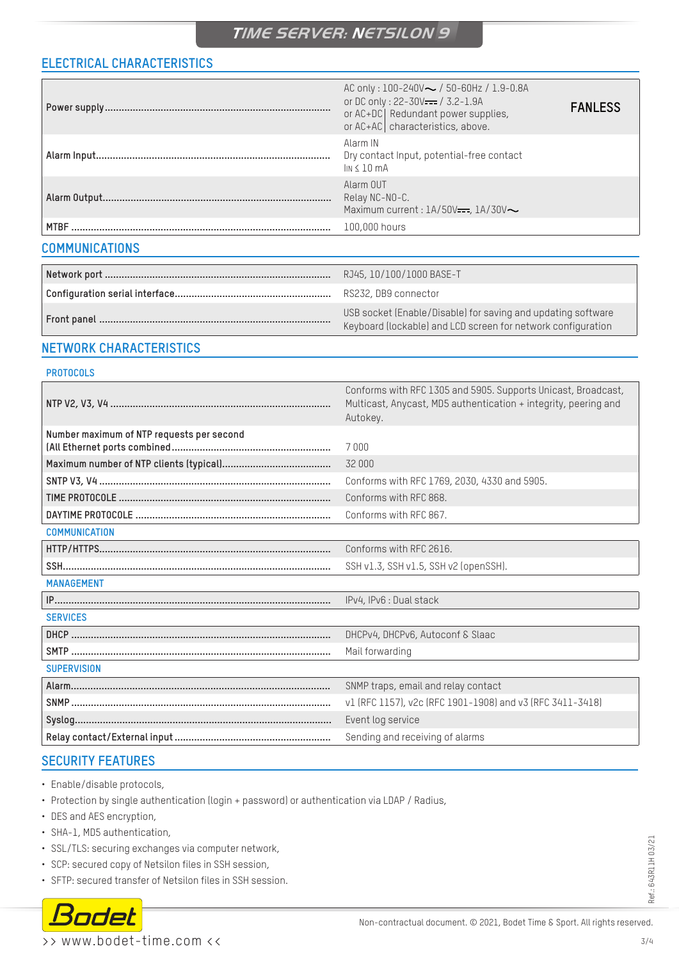### **ELECTRICAL CHARACTERISTICS**

|                       | AC only: $100 - 240V \sim / 50 - 60Hz / 1.9 - 0.8A$<br>or DC only: 22-30V--- / 3.2-1.9A<br>or AC+DC   Redundant power supplies,<br>or AC+AC characteristics, above. | <b>FANLESS</b> |
|-----------------------|---------------------------------------------------------------------------------------------------------------------------------------------------------------------|----------------|
|                       | Alarm IN<br>Dry contact Input, potential-free contact<br>$\ln 4 10 \text{ mA}$                                                                                      |                |
|                       | Alarm OUT<br>Relay NC-NO-C.<br>Maximum current : $1A/50V$ —, $1A/30V$                                                                                               |                |
|                       | 100,000 hours                                                                                                                                                       |                |
| <b>COMMUNICATIONS</b> |                                                                                                                                                                     |                |
|                       |                                                                                                                                                                     |                |

| RJ45, 10/100/1000 BASE-T                                                                                                     |
|------------------------------------------------------------------------------------------------------------------------------|
| RS232, DB9 connector                                                                                                         |
| USB socket (Enable/Disable) for saving and updating software<br>Keyboard (lockable) and LCD screen for network configuration |

### **NETWORK CHARACTERISTICS**

#### **PROTOCOLS**

|                                           | Conforms with RFC 1305 and 5905. Supports Unicast, Broadcast,<br>Multicast, Anycast, MD5 authentication + integrity, peering and<br>Autokey. |
|-------------------------------------------|----------------------------------------------------------------------------------------------------------------------------------------------|
| Number maximum of NTP requests per second | 7000                                                                                                                                         |
|                                           | 32 000                                                                                                                                       |
|                                           | Conforms with RFC 1769, 2030, 4330 and 5905.                                                                                                 |
|                                           | Conforms with RFC 868.                                                                                                                       |
|                                           | Conforms with RFC 867.                                                                                                                       |
| <b>COMMUNICATION</b>                      |                                                                                                                                              |
|                                           | Conforms with RFC 2616.                                                                                                                      |
|                                           | SSH v1.3, SSH v1.5, SSH v2 (openSSH).                                                                                                        |
| <b>MANAGEMENT</b>                         |                                                                                                                                              |
|                                           | IPv4, IPv6 : Dual stack                                                                                                                      |
| <b>SERVICES</b>                           |                                                                                                                                              |
|                                           | DHCPv4, DHCPv6, Autoconf & Slaac                                                                                                             |
|                                           | Mail forwarding                                                                                                                              |
| <b>SUPERVISION</b>                        |                                                                                                                                              |
|                                           | SNMP traps, email and relay contact                                                                                                          |
|                                           | v1 (RFC 1157), v2c (RFC 1901-1908) and v3 (RFC 3411-3418)                                                                                    |
|                                           | Event log service                                                                                                                            |
|                                           | Sending and receiving of alarms                                                                                                              |

### **SECURITY FEATURES**

- Enable/disable protocols,
- Protection by single authentication (login + password) or authentication via LDAP / Radius,
- DES and AES encryption,
- SHA-1, MD5 authentication,
- SSL/TLS: securing exchanges via computer network,
- SCP: secured copy of Netsilon files in SSH session,
- SFTP: secured transfer of Netsilon files in SSH session.